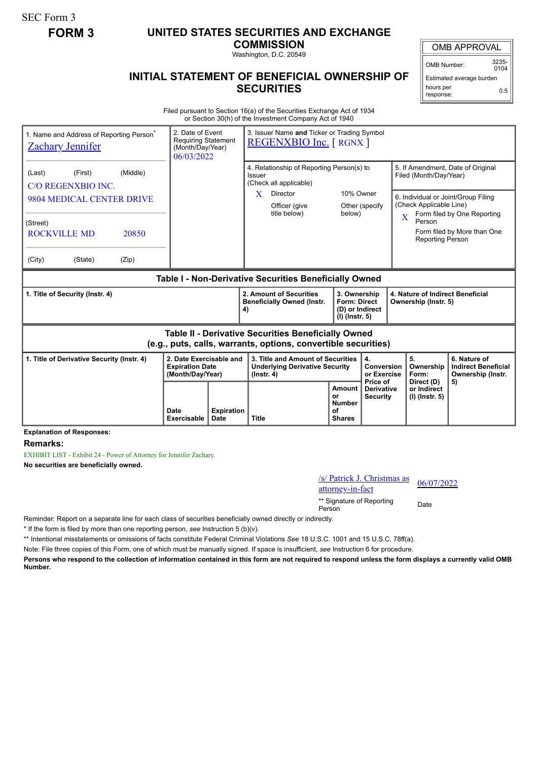SEC Form 3

## **FORM 3 UNITED STATES SECURITIES AND EXCHANGE**

**COMMISSION** Washington, D.C. 20549

OMB APPROVAL

OMB Number: 3235-  $0104$ 

Estimated average burden hours per response: 0.5

## **INITIAL STATEMENT OF BENEFICIAL OWNERSHIP OF SECURITIES**

Filed pursuant to Section 16(a) of the Securities Exchange Act of 1934 or Section 30(h) of the Investment Company Act of 1940

| 1. Name and Address of Reporting Person <sup>®</sup><br><b>Zachary Jennifer</b>                                       |                     | 3. Issuer Name and Ticker or Trading Symbol<br>2. Date of Event<br><b>Requiring Statement</b><br><b>REGENXBIO Inc.</b> [ RGNX ]<br>(Month/Day/Year)<br>06/03/2022 |                                                                                                |                                                      |                                                                                                                                      |                                                                                               |                                                                 |  |
|-----------------------------------------------------------------------------------------------------------------------|---------------------|-------------------------------------------------------------------------------------------------------------------------------------------------------------------|------------------------------------------------------------------------------------------------|------------------------------------------------------|--------------------------------------------------------------------------------------------------------------------------------------|-----------------------------------------------------------------------------------------------|-----------------------------------------------------------------|--|
| (Middle)<br>(First)<br>(Last)<br>C/O REGENXBIO INC.                                                                   |                     |                                                                                                                                                                   | 4. Relationship of Reporting Person(s) to<br>Issuer<br>(Check all applicable)                  |                                                      |                                                                                                                                      | 5. If Amendment, Date of Original<br>Filed (Month/Day/Year)                                   |                                                                 |  |
| 9804 MEDICAL CENTER DRIVE                                                                                             |                     |                                                                                                                                                                   | Director<br>X<br>Officer (give<br>title below)                                                 | 10% Owner<br>Other (specify<br>below)                |                                                                                                                                      | 6. Individual or Joint/Group Filing<br>(Check Applicable Line)<br>Form filed by One Reporting |                                                                 |  |
| (Street)<br><b>ROCKVILLE MD</b><br>20850                                                                              |                     |                                                                                                                                                                   |                                                                                                |                                                      |                                                                                                                                      | $\overline{\mathbf{X}}$<br>Person<br><b>Reporting Person</b>                                  | Form filed by More than One                                     |  |
| (City)<br>(State)<br>(Zip)                                                                                            |                     |                                                                                                                                                                   |                                                                                                |                                                      |                                                                                                                                      |                                                                                               |                                                                 |  |
| Table I - Non-Derivative Securities Beneficially Owned                                                                |                     |                                                                                                                                                                   |                                                                                                |                                                      |                                                                                                                                      |                                                                                               |                                                                 |  |
| 1. Title of Security (Instr. 4)                                                                                       |                     |                                                                                                                                                                   | 2. Amount of Securities<br><b>Beneficially Owned (Instr.</b><br>4)                             |                                                      | 3. Ownership<br>4. Nature of Indirect Beneficial<br><b>Form: Direct</b><br>Ownership (Instr. 5)<br>(D) or Indirect<br>(I) (Instr. 5) |                                                                                               |                                                                 |  |
| Table II - Derivative Securities Beneficially Owned<br>(e.g., puts, calls, warrants, options, convertible securities) |                     |                                                                                                                                                                   |                                                                                                |                                                      |                                                                                                                                      |                                                                                               |                                                                 |  |
| 2. Date Exercisable and<br>1. Title of Derivative Security (Instr. 4)<br><b>Expiration Date</b><br>(Month/Day/Year)   |                     |                                                                                                                                                                   | 3. Title and Amount of Securities<br><b>Underlying Derivative Security</b><br>$($ lnstr. 4 $)$ |                                                      | 4.<br>Conversion<br>or Exercise<br>Price of                                                                                          | 5.<br>Ownership<br>Form:<br>Direct (D)                                                        | 6. Nature of<br><b>Indirect Beneficial</b><br>Ownership (Instr. |  |
|                                                                                                                       | Date<br>Exercisable | <b>Expiration</b><br>Date                                                                                                                                         | <b>Title</b>                                                                                   | Amount<br>or<br><b>Number</b><br>οf<br><b>Shares</b> | <b>Derivative</b><br><b>Security</b>                                                                                                 | or Indirect<br>(I) (Instr. 5)                                                                 | 5)                                                              |  |

**Explanation of Responses:**

**Remarks:**

EXHIBIT LIST - Exhibit 24 - Power of Attorney for Jennifer Zachary.

**No securities are beneficially owned.**

/s/ Patrick J. Christmas as  $\frac{1}{\text{S}}$  Patrick J. Christmas as  $\frac{06}{07/2022}$ 

\*\* Signature of Reporting Person Date

Reminder: Report on a separate line for each class of securities beneficially owned directly or indirectly.

\* If the form is filed by more than one reporting person, *see* Instruction 5 (b)(v).

\*\* Intentional misstatements or omissions of facts constitute Federal Criminal Violations *See* 18 U.S.C. 1001 and 15 U.S.C. 78ff(a).

Note: File three copies of this Form, one of which must be manually signed. If space is insufficient, *see* Instruction 6 for procedure.

**Persons who respond to the collection of information contained in this form are not required to respond unless the form displays a currently valid OMB Number.**